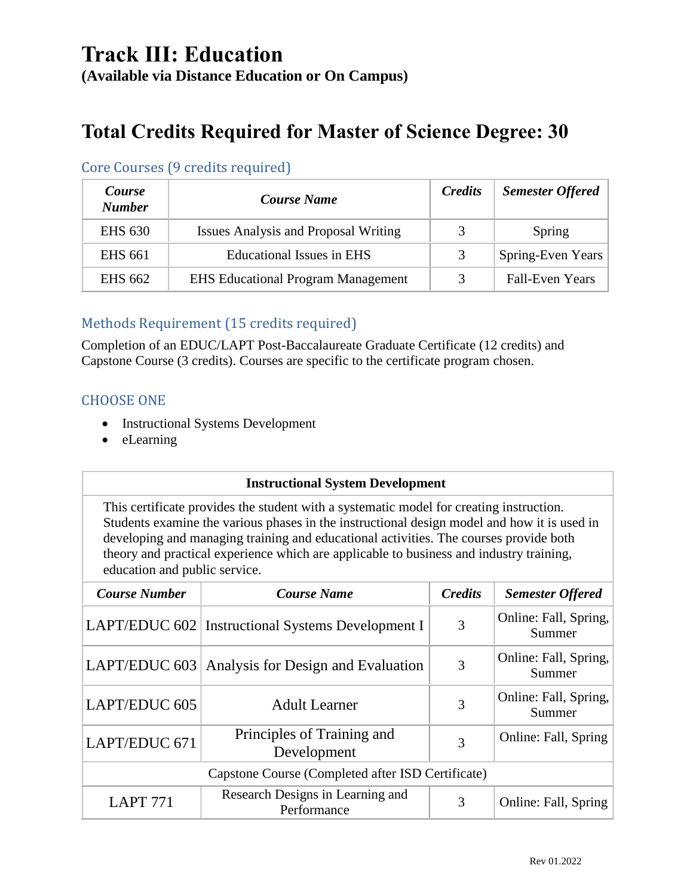## **Track III: Education (Available via Distance Education or On Campus)**

# **Total Credits Required for Master of Science Degree: 30**

| <i>Course</i><br><b>Number</b> | <b>Course Name</b>                          | <b>Credits</b> | <b>Semester Offered</b> |
|--------------------------------|---------------------------------------------|----------------|-------------------------|
| <b>EHS 630</b>                 | <b>Issues Analysis and Proposal Writing</b> | 3              | Spring                  |
| <b>EHS 661</b>                 | Educational Issues in EHS                   | 3              | Spring-Even Years       |
| <b>EHS 662</b>                 | <b>EHS Educational Program Management</b>   | 3              | <b>Fall-Even Years</b>  |

#### Core Courses (9 credits required)

#### Methods Requirement (15 credits required)

Completion of an EDUC/LAPT Post-Baccalaureate Graduate Certificate (12 credits) and Capstone Course (3 credits). Courses are specific to the certificate program chosen.

#### CHOOSE ONE

- Instructional Systems Development
- eLearning

#### **Instructional System Development**

This certificate provides the student with a systematic model for creating instruction. Students examine the various phases in the instructional design model and how it is used in developing and managing training and educational activities. The courses provide both theory and practical experience which are applicable to business and industry training, education and public service.

| <b>Course Number</b> | <b>Course Name</b>                                  | <b>Credits</b> | <b>Semester Offered</b>         |
|----------------------|-----------------------------------------------------|----------------|---------------------------------|
|                      | LAPT/EDUC 602   Instructional Systems Development I | 3              | Online: Fall, Spring,<br>Summer |
|                      | LAPT/EDUC 603 Analysis for Design and Evaluation    | 3              | Online: Fall, Spring,<br>Summer |
| LAPT/EDUC 605        | <b>Adult Learner</b>                                | 3              | Online: Fall, Spring,<br>Summer |
| LAPT/EDUC 671        | Principles of Training and<br>Development           | 3              | Online: Fall, Spring            |
|                      | Capstone Course (Completed after ISD Certificate)   |                |                                 |
| <b>LAPT 771</b>      | Research Designs in Learning and<br>Performance     | 3              | Online: Fall, Spring            |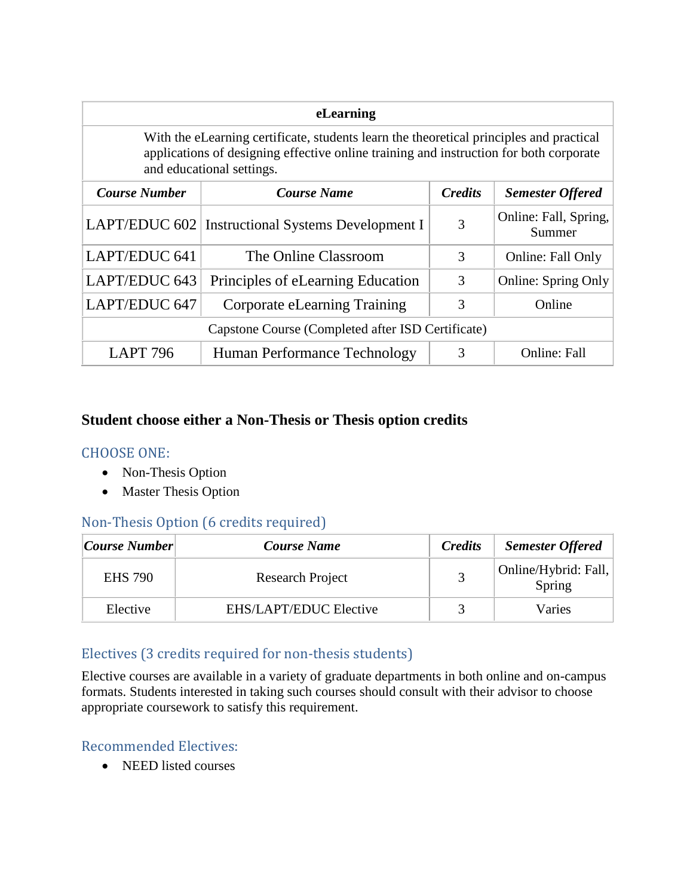| eLearning                                                                                                                                                                                                      |                                                     |                |                                 |
|----------------------------------------------------------------------------------------------------------------------------------------------------------------------------------------------------------------|-----------------------------------------------------|----------------|---------------------------------|
| With the eLearning certificate, students learn the theoretical principles and practical<br>applications of designing effective online training and instruction for both corporate<br>and educational settings. |                                                     |                |                                 |
| <b>Course Number</b>                                                                                                                                                                                           | <b>Course Name</b>                                  | <b>Credits</b> | <b>Semester Offered</b>         |
|                                                                                                                                                                                                                | LAPT/EDUC 602   Instructional Systems Development I | 3              | Online: Fall, Spring,<br>Summer |
| LAPT/EDUC 641                                                                                                                                                                                                  | The Online Classroom                                | 3              | Online: Fall Only               |
| LAPT/EDUC 643                                                                                                                                                                                                  | Principles of eLearning Education                   | 3              | <b>Online: Spring Only</b>      |
| LAPT/EDUC 647                                                                                                                                                                                                  | Corporate eLearning Training                        | 3              | Online                          |
| Capstone Course (Completed after ISD Certificate)                                                                                                                                                              |                                                     |                |                                 |
| <b>LAPT 796</b>                                                                                                                                                                                                | Human Performance Technology                        | 3              | <b>Online: Fall</b>             |

#### **Student choose either a Non-Thesis or Thesis option credits**

#### CHOOSE ONE:

- Non-Thesis Option
- Master Thesis Option

#### Non-Thesis Option (6 credits required)

| Course Number  | Course Name            | <b>Credits</b> | <b>Semester Offered</b>        |
|----------------|------------------------|----------------|--------------------------------|
| <b>EHS</b> 790 | Research Project       |                | Online/Hybrid: Fall,<br>Spring |
| Elective       | EHS/LAPT/EDUC Elective |                | Varies                         |

#### Electives (3 credits required for non-thesis students)

Elective courses are available in a variety of graduate departments in both online and on-campus formats. Students interested in taking such courses should consult with their advisor to choose appropriate coursework to satisfy this requirement.

#### Recommended Electives:

• NEED listed courses